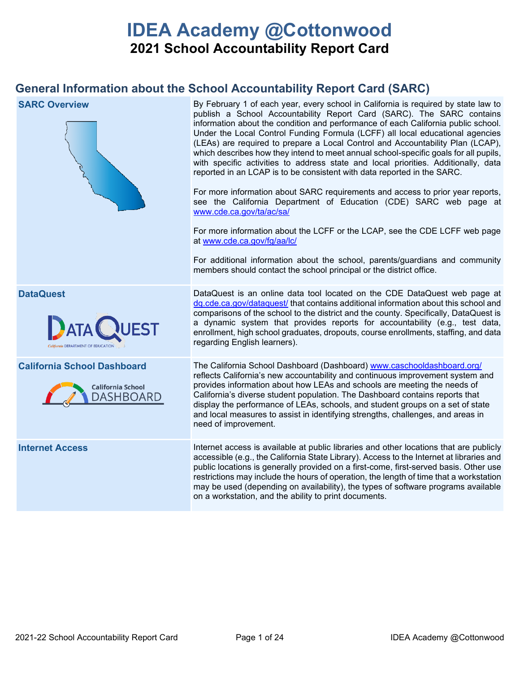# **IDEA Academy @Cottonwood 2021 School Accountability Report Card**

## **General Information about the School Accountability Report Card (SARC)**

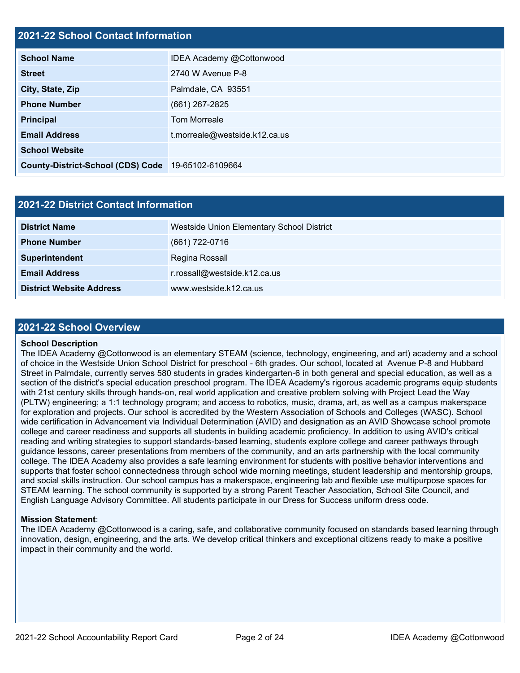## **2021-22 School Contact Information**

| EVET EE GUILGUI GUILGUL IIII GITILGUUT   |                               |  |  |  |
|------------------------------------------|-------------------------------|--|--|--|
| <b>School Name</b>                       | IDEA Academy @Cottonwood      |  |  |  |
| <b>Street</b>                            | 2740 W Avenue P-8             |  |  |  |
| City, State, Zip                         | Palmdale, CA 93551            |  |  |  |
| <b>Phone Number</b>                      | $(661)$ 267-2825              |  |  |  |
| <b>Principal</b>                         | <b>Tom Morreale</b>           |  |  |  |
| <b>Email Address</b>                     | t.morreale@westside.k12.ca.us |  |  |  |
| <b>School Website</b>                    |                               |  |  |  |
| <b>County-District-School (CDS) Code</b> | 19-65102-6109664              |  |  |  |

| <b>2021-22 District Contact Information</b> |                                           |  |  |  |  |
|---------------------------------------------|-------------------------------------------|--|--|--|--|
| <b>District Name</b>                        | Westside Union Elementary School District |  |  |  |  |
| <b>Phone Number</b>                         | (661) 722-0716                            |  |  |  |  |
| Superintendent                              | Regina Rossall                            |  |  |  |  |
| <b>Email Address</b>                        | r.rossall@westside.k12.ca.us              |  |  |  |  |
| <b>District Website Address</b>             | www.westside.k12.ca.us                    |  |  |  |  |

#### **2021-22 School Overview**

#### **School Description**

The IDEA Academy @Cottonwood is an elementary STEAM (science, technology, engineering, and art) academy and a school of choice in the Westside Union School District for preschool - 6th grades. Our school, located at Avenue P-8 and Hubbard Street in Palmdale, currently serves 580 students in grades kindergarten-6 in both general and special education, as well as a section of the district's special education preschool program. The IDEA Academy's rigorous academic programs equip students with 21st century skills through hands-on, real world application and creative problem solving with Project Lead the Way (PLTW) engineering; a 1:1 technology program; and access to robotics, music, drama, art, as well as a campus makerspace for exploration and projects. Our school is accredited by the Western Association of Schools and Colleges (WASC). School wide certification in Advancement via Individual Determination (AVID) and designation as an AVID Showcase school promote college and career readiness and supports all students in building academic proficiency. In addition to using AVID's critical reading and writing strategies to support standards-based learning, students explore college and career pathways through guidance lessons, career presentations from members of the community, and an arts partnership with the local community college. The IDEA Academy also provides a safe learning environment for students with positive behavior interventions and supports that foster school connectedness through school wide morning meetings, student leadership and mentorship groups, and social skills instruction. Our school campus has a makerspace, engineering lab and flexible use multipurpose spaces for STEAM learning. The school community is supported by a strong Parent Teacher Association, School Site Council, and English Language Advisory Committee. All students participate in our Dress for Success uniform dress code.

#### **Mission Statement**:

The IDEA Academy @Cottonwood is a caring, safe, and collaborative community focused on standards based learning through innovation, design, engineering, and the arts. We develop critical thinkers and exceptional citizens ready to make a positive impact in their community and the world.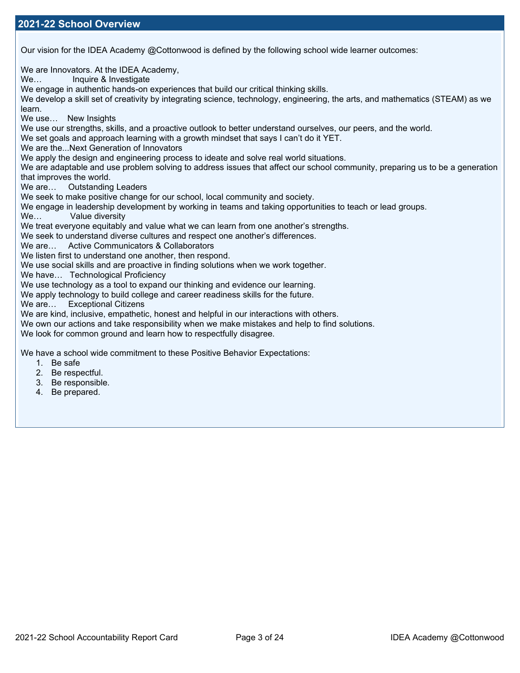Our vision for the IDEA Academy @Cottonwood is defined by the following school wide learner outcomes:

We are Innovators. At the IDEA Academy, We... Inquire & Investigate We engage in authentic hands-on experiences that build our critical thinking skills. We develop a skill set of creativity by integrating science, technology, engineering, the arts, and mathematics (STEAM) as we learn. We use… New Insights We use our strengths, skills, and a proactive outlook to better understand ourselves, our peers, and the world. We set goals and approach learning with a growth mindset that says I can't do it YET. We are the...Next Generation of Innovators We apply the design and engineering process to ideate and solve real world situations. We are adaptable and use problem solving to address issues that affect our school community, preparing us to be a generation that improves the world. We are… Outstanding Leaders We seek to make positive change for our school, local community and society. We engage in leadership development by working in teams and taking opportunities to teach or lead groups.<br>We… Value diversity Value diversity We treat everyone equitably and value what we can learn from one another's strengths. We seek to understand diverse cultures and respect one another's differences. We are… Active Communicators & Collaborators We listen first to understand one another, then respond. We use social skills and are proactive in finding solutions when we work together. We have… Technological Proficiency We use technology as a tool to expand our thinking and evidence our learning. We apply technology to build college and career readiness skills for the future. We are… Exceptional Citizens We are kind, inclusive, empathetic, honest and helpful in our interactions with others. We own our actions and take responsibility when we make mistakes and help to find solutions. We look for common ground and learn how to respectfully disagree. We have a school wide commitment to these Positive Behavior Expectations:

- 1. Be safe
- 2. Be respectful.
- 3. Be responsible.
- 4. Be prepared.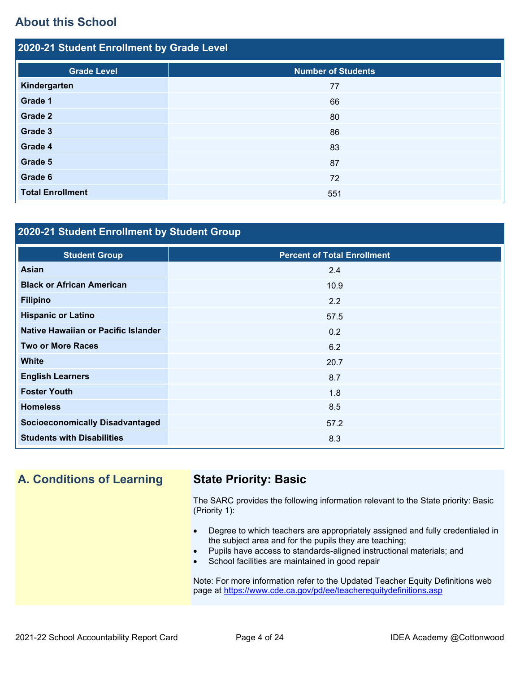## **About this School**

| 2020-21 Student Enrollment by Grade Level |                           |  |  |  |  |
|-------------------------------------------|---------------------------|--|--|--|--|
| <b>Grade Level</b>                        | <b>Number of Students</b> |  |  |  |  |
| Kindergarten                              | 77                        |  |  |  |  |
| Grade 1                                   | 66                        |  |  |  |  |
| Grade 2                                   | 80                        |  |  |  |  |
| Grade 3                                   | 86                        |  |  |  |  |
| Grade 4                                   | 83                        |  |  |  |  |
| Grade 5                                   | 87                        |  |  |  |  |
| Grade 6                                   | 72                        |  |  |  |  |
| <b>Total Enrollment</b>                   | 551                       |  |  |  |  |

## **2020-21 Student Enrollment by Student Group**

| <b>Student Group</b>                   | <b>Percent of Total Enrollment</b> |
|----------------------------------------|------------------------------------|
| <b>Asian</b>                           | 2.4                                |
| <b>Black or African American</b>       | 10.9                               |
| <b>Filipino</b>                        | 2.2                                |
| <b>Hispanic or Latino</b>              | 57.5                               |
| Native Hawaiian or Pacific Islander    | 0.2                                |
| <b>Two or More Races</b>               | 6.2                                |
| <b>White</b>                           | 20.7                               |
| <b>English Learners</b>                | 8.7                                |
| <b>Foster Youth</b>                    | 1.8                                |
| <b>Homeless</b>                        | 8.5                                |
| <b>Socioeconomically Disadvantaged</b> | 57.2                               |
| <b>Students with Disabilities</b>      | 8.3                                |

## **A. Conditions of Learning State Priority: Basic**

The SARC provides the following information relevant to the State priority: Basic (Priority 1):

- Degree to which teachers are appropriately assigned and fully credentialed in the subject area and for the pupils they are teaching;
- Pupils have access to standards-aligned instructional materials; and
- School facilities are maintained in good repair

Note: For more information refer to the Updated Teacher Equity Definitions web page at<https://www.cde.ca.gov/pd/ee/teacherequitydefinitions.asp>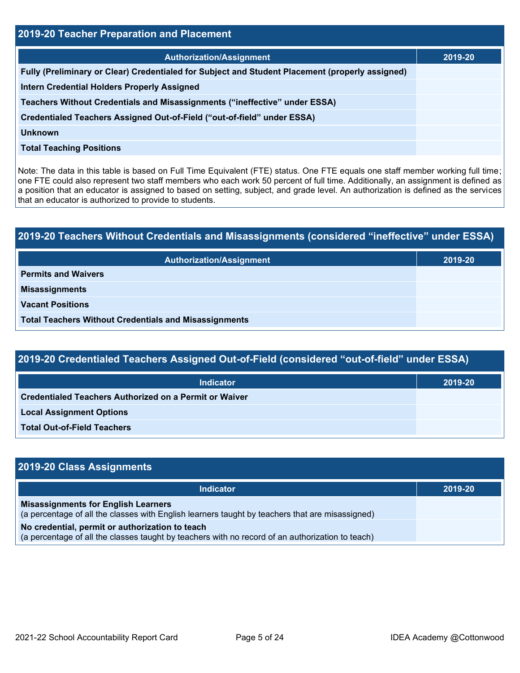| 2019-20 Teacher Preparation and Placement                                                       |         |  |  |  |  |
|-------------------------------------------------------------------------------------------------|---------|--|--|--|--|
| <b>Authorization/Assignment</b>                                                                 | 2019-20 |  |  |  |  |
| Fully (Preliminary or Clear) Credentialed for Subject and Student Placement (properly assigned) |         |  |  |  |  |
| <b>Intern Credential Holders Properly Assigned</b>                                              |         |  |  |  |  |
| Teachers Without Credentials and Misassignments ("ineffective" under ESSA)                      |         |  |  |  |  |
| Credentialed Teachers Assigned Out-of-Field ("out-of-field" under ESSA)                         |         |  |  |  |  |
| <b>Unknown</b>                                                                                  |         |  |  |  |  |
| <b>Total Teaching Positions</b>                                                                 |         |  |  |  |  |

Note: The data in this table is based on Full Time Equivalent (FTE) status. One FTE equals one staff member working full time; one FTE could also represent two staff members who each work 50 percent of full time. Additionally, an assignment is defined as a position that an educator is assigned to based on setting, subject, and grade level. An authorization is defined as the services that an educator is authorized to provide to students.

# **2019-20 Teachers Without Credentials and Misassignments (considered "ineffective" under ESSA) Authorization/Assignment 2019-20 Permits and Waivers Misassignments Vacant Positions Total Teachers Without Credentials and Misassignments**

| 2019-20 Credentialed Teachers Assigned Out-of-Field (considered "out-of-field" under ESSA) |         |  |  |  |  |
|--------------------------------------------------------------------------------------------|---------|--|--|--|--|
| <b>Indicator</b>                                                                           | 2019-20 |  |  |  |  |
| Credentialed Teachers Authorized on a Permit or Waiver                                     |         |  |  |  |  |
| <b>Local Assignment Options</b>                                                            |         |  |  |  |  |
| <b>Total Out-of-Field Teachers</b>                                                         |         |  |  |  |  |

| 2019-20 Class Assignments                                                                                                                           |         |
|-----------------------------------------------------------------------------------------------------------------------------------------------------|---------|
| <b>Indicator</b>                                                                                                                                    | 2019-20 |
| <b>Misassignments for English Learners</b><br>(a percentage of all the classes with English learners taught by teachers that are misassigned)       |         |
| No credential, permit or authorization to teach<br>(a percentage of all the classes taught by teachers with no record of an authorization to teach) |         |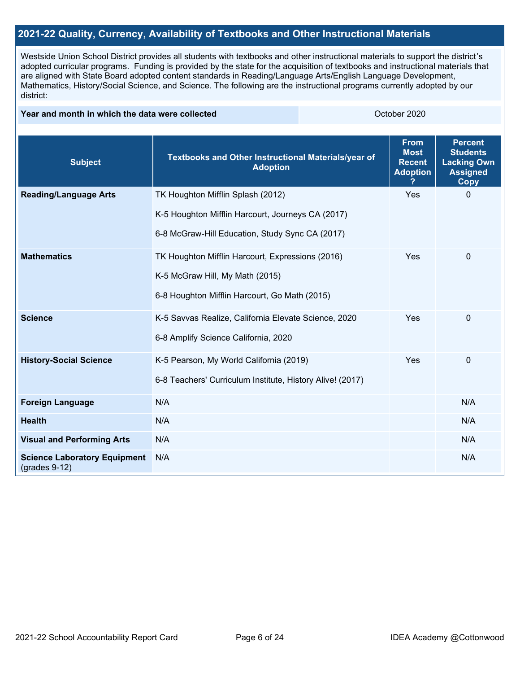## **2021-22 Quality, Currency, Availability of Textbooks and Other Instructional Materials**

Westside Union School District provides all students with textbooks and other instructional materials to support the district's adopted curricular programs. Funding is provided by the state for the acquisition of textbooks and instructional materials that are aligned with State Board adopted content standards in Reading/Language Arts/English Language Development, Mathematics, History/Social Science, and Science. The following are the instructional programs currently adopted by our district:

#### **Year and month in which the data were collected Collection Collection Collection Collection** October 2020

| <b>Subject</b>                                         | Textbooks and Other Instructional Materials/year of<br><b>Adoption</b> | <b>From</b><br><b>Most</b><br><b>Recent</b><br><b>Adoption</b> | <b>Percent</b><br><b>Students</b><br><b>Lacking Own</b><br><b>Assigned</b><br><b>Copy</b> |
|--------------------------------------------------------|------------------------------------------------------------------------|----------------------------------------------------------------|-------------------------------------------------------------------------------------------|
| <b>Reading/Language Arts</b>                           | TK Houghton Mifflin Splash (2012)                                      | Yes                                                            | $\Omega$                                                                                  |
|                                                        | K-5 Houghton Mifflin Harcourt, Journeys CA (2017)                      |                                                                |                                                                                           |
|                                                        | 6-8 McGraw-Hill Education, Study Sync CA (2017)                        |                                                                |                                                                                           |
| <b>Mathematics</b>                                     | TK Houghton Mifflin Harcourt, Expressions (2016)                       | Yes                                                            | $\mathbf 0$                                                                               |
|                                                        | K-5 McGraw Hill, My Math (2015)                                        |                                                                |                                                                                           |
|                                                        | 6-8 Houghton Mifflin Harcourt, Go Math (2015)                          |                                                                |                                                                                           |
| <b>Science</b>                                         | K-5 Savvas Realize, California Elevate Science, 2020                   | Yes                                                            | 0                                                                                         |
|                                                        | 6-8 Amplify Science California, 2020                                   |                                                                |                                                                                           |
| <b>History-Social Science</b>                          | K-5 Pearson, My World California (2019)                                | Yes                                                            | 0                                                                                         |
|                                                        | 6-8 Teachers' Curriculum Institute, History Alive! (2017)              |                                                                |                                                                                           |
| <b>Foreign Language</b>                                | N/A                                                                    |                                                                | N/A                                                                                       |
| <b>Health</b>                                          | N/A                                                                    |                                                                | N/A                                                                                       |
| <b>Visual and Performing Arts</b>                      | N/A                                                                    |                                                                | N/A                                                                                       |
| <b>Science Laboratory Equipment</b><br>$(grades 9-12)$ | N/A                                                                    |                                                                | N/A                                                                                       |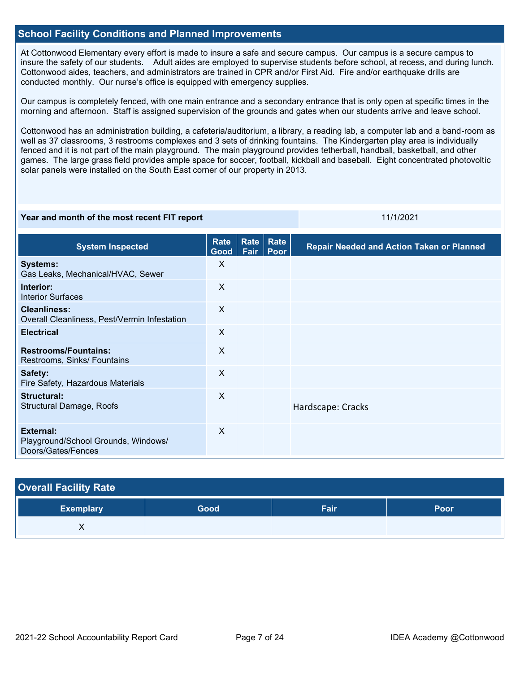## **School Facility Conditions and Planned Improvements**

At Cottonwood Elementary every effort is made to insure a safe and secure campus. Our campus is a secure campus to insure the safety of our students. Adult aides are employed to supervise students before school, at recess, and during lunch. Cottonwood aides, teachers, and administrators are trained in CPR and/or First Aid. Fire and/or earthquake drills are conducted monthly. Our nurse's office is equipped with emergency supplies.

Our campus is completely fenced, with one main entrance and a secondary entrance that is only open at specific times in the morning and afternoon. Staff is assigned supervision of the grounds and gates when our students arrive and leave school.

Cottonwood has an administration building, a cafeteria/auditorium, a library, a reading lab, a computer lab and a band-room as well as 37 classrooms, 3 restrooms complexes and 3 sets of drinking fountains. The Kindergarten play area is individually fenced and it is not part of the main playground. The main playground provides tetherball, handball, basketball, and other games. The large grass field provides ample space for soccer, football, kickball and baseball. Eight concentrated photovoltic solar panels were installed on the South East corner of our property in 2013.

#### **Year and month of the most recent FIT report** 11/1/2021 11/1/2021

| <b>System Inspected</b>                                                | Rate<br>Good | Rate<br>Fair | <b>Rate</b><br>Poor | <b>Repair Needed and Action Taken or Planned</b> |
|------------------------------------------------------------------------|--------------|--------------|---------------------|--------------------------------------------------|
| <b>Systems:</b><br>Gas Leaks, Mechanical/HVAC, Sewer                   | X            |              |                     |                                                  |
| Interior:<br><b>Interior Surfaces</b>                                  | $\mathsf{X}$ |              |                     |                                                  |
| <b>Cleanliness:</b><br>Overall Cleanliness, Pest/Vermin Infestation    | $\mathsf{X}$ |              |                     |                                                  |
| <b>Electrical</b>                                                      | $\sf X$      |              |                     |                                                  |
| <b>Restrooms/Fountains:</b><br>Restrooms, Sinks/ Fountains             | $\sf X$      |              |                     |                                                  |
| Safety:<br>Fire Safety, Hazardous Materials                            | $\mathsf{X}$ |              |                     |                                                  |
| Structural:<br><b>Structural Damage, Roofs</b>                         | X            |              |                     | Hardscape: Cracks                                |
| External:<br>Playground/School Grounds, Windows/<br>Doors/Gates/Fences | $\mathsf{X}$ |              |                     |                                                  |

| <b>Overall Facility Rate</b> |      |      |      |
|------------------------------|------|------|------|
| <b>Exemplary</b>             | Good | Fair | Poor |
| ∧                            |      |      |      |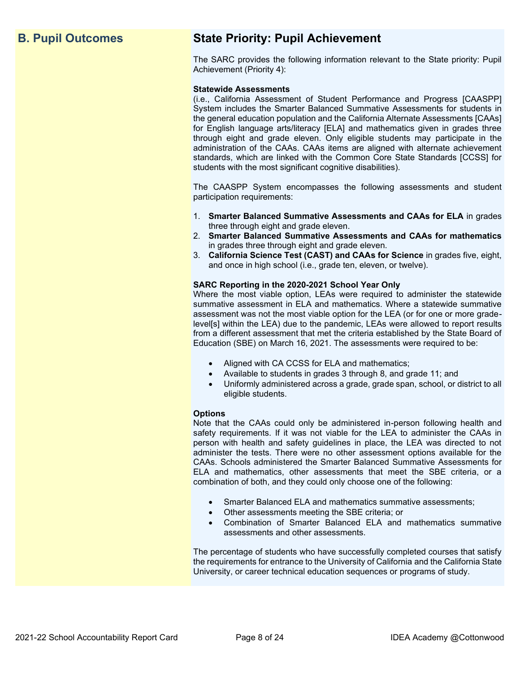## **B. Pupil Outcomes State Priority: Pupil Achievement**

The SARC provides the following information relevant to the State priority: Pupil Achievement (Priority 4):

#### **Statewide Assessments**

(i.e., California Assessment of Student Performance and Progress [CAASPP] System includes the Smarter Balanced Summative Assessments for students in the general education population and the California Alternate Assessments [CAAs] for English language arts/literacy [ELA] and mathematics given in grades three through eight and grade eleven. Only eligible students may participate in the administration of the CAAs. CAAs items are aligned with alternate achievement standards, which are linked with the Common Core State Standards [CCSS] for students with the most significant cognitive disabilities).

The CAASPP System encompasses the following assessments and student participation requirements:

- 1. **Smarter Balanced Summative Assessments and CAAs for ELA** in grades three through eight and grade eleven.
- 2. **Smarter Balanced Summative Assessments and CAAs for mathematics** in grades three through eight and grade eleven.
- 3. **California Science Test (CAST) and CAAs for Science** in grades five, eight, and once in high school (i.e., grade ten, eleven, or twelve).

#### **SARC Reporting in the 2020-2021 School Year Only**

Where the most viable option, LEAs were required to administer the statewide summative assessment in ELA and mathematics. Where a statewide summative assessment was not the most viable option for the LEA (or for one or more gradelevel[s] within the LEA) due to the pandemic, LEAs were allowed to report results from a different assessment that met the criteria established by the State Board of Education (SBE) on March 16, 2021. The assessments were required to be:

- Aligned with CA CCSS for ELA and mathematics;
- Available to students in grades 3 through 8, and grade 11; and
- Uniformly administered across a grade, grade span, school, or district to all eligible students.

#### **Options**

Note that the CAAs could only be administered in-person following health and safety requirements. If it was not viable for the LEA to administer the CAAs in person with health and safety guidelines in place, the LEA was directed to not administer the tests. There were no other assessment options available for the CAAs. Schools administered the Smarter Balanced Summative Assessments for ELA and mathematics, other assessments that meet the SBE criteria, or a combination of both, and they could only choose one of the following:

- Smarter Balanced ELA and mathematics summative assessments;
- Other assessments meeting the SBE criteria; or
- Combination of Smarter Balanced ELA and mathematics summative assessments and other assessments.

The percentage of students who have successfully completed courses that satisfy the requirements for entrance to the University of California and the California State University, or career technical education sequences or programs of study.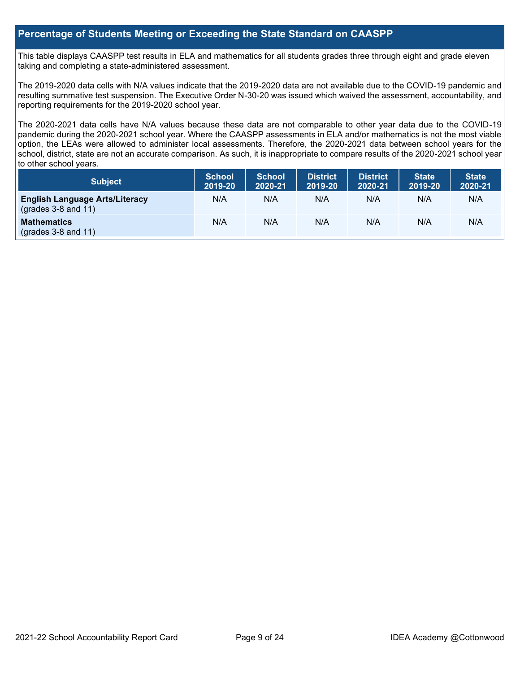## **Percentage of Students Meeting or Exceeding the State Standard on CAASPP**

This table displays CAASPP test results in ELA and mathematics for all students grades three through eight and grade eleven taking and completing a state-administered assessment.

The 2019-2020 data cells with N/A values indicate that the 2019-2020 data are not available due to the COVID-19 pandemic and resulting summative test suspension. The Executive Order N-30-20 was issued which waived the assessment, accountability, and reporting requirements for the 2019-2020 school year.

The 2020-2021 data cells have N/A values because these data are not comparable to other year data due to the COVID-19 pandemic during the 2020-2021 school year. Where the CAASPP assessments in ELA and/or mathematics is not the most viable option, the LEAs were allowed to administer local assessments. Therefore, the 2020-2021 data between school years for the school, district, state are not an accurate comparison. As such, it is inappropriate to compare results of the 2020-2021 school year to other school years.

| Subject                                                              | <b>School</b><br>2019-20 | <b>School</b><br>2020-21 | <b>District</b><br>2019-20 | <b>District</b><br>2020-21 | <b>State</b><br>2019-20 | <b>State</b><br>2020-21 |
|----------------------------------------------------------------------|--------------------------|--------------------------|----------------------------|----------------------------|-------------------------|-------------------------|
| <b>English Language Arts/Literacy</b><br>$\left($ grades 3-8 and 11) | N/A                      | N/A                      | N/A                        | N/A                        | N/A                     | N/A                     |
| <b>Mathematics</b><br>$(grades 3-8 and 11)$                          | N/A                      | N/A                      | N/A                        | N/A                        | N/A                     | N/A                     |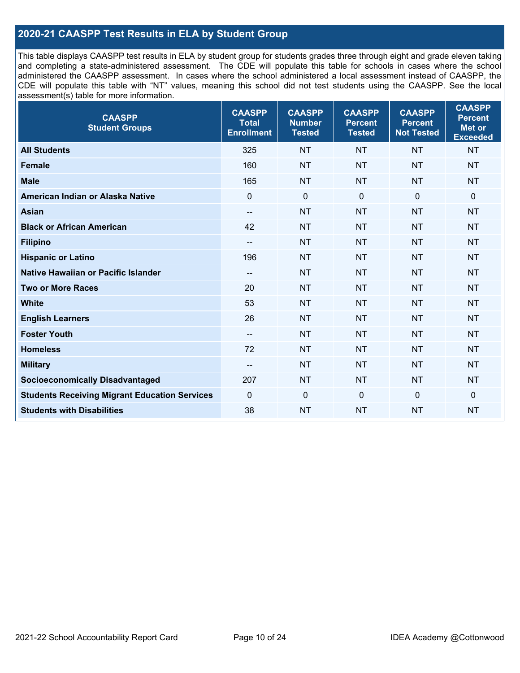## **2020-21 CAASPP Test Results in ELA by Student Group**

This table displays CAASPP test results in ELA by student group for students grades three through eight and grade eleven taking and completing a state-administered assessment. The CDE will populate this table for schools in cases where the school administered the CAASPP assessment. In cases where the school administered a local assessment instead of CAASPP, the CDE will populate this table with "NT" values, meaning this school did not test students using the CAASPP. See the local assessment(s) table for more information.

| <b>CAASPP</b><br><b>Student Groups</b>               | <b>CAASPP</b><br><b>Total</b><br><b>Enrollment</b> | <b>CAASPP</b><br><b>Number</b><br><b>Tested</b> | <b>CAASPP</b><br><b>Percent</b><br><b>Tested</b> | <b>CAASPP</b><br><b>Percent</b><br><b>Not Tested</b> | <b>CAASPP</b><br><b>Percent</b><br>Met or<br><b>Exceeded</b> |
|------------------------------------------------------|----------------------------------------------------|-------------------------------------------------|--------------------------------------------------|------------------------------------------------------|--------------------------------------------------------------|
| <b>All Students</b>                                  | 325                                                | <b>NT</b>                                       | <b>NT</b>                                        | <b>NT</b>                                            | <b>NT</b>                                                    |
| <b>Female</b>                                        | 160                                                | <b>NT</b>                                       | <b>NT</b>                                        | <b>NT</b>                                            | <b>NT</b>                                                    |
| <b>Male</b>                                          | 165                                                | <b>NT</b>                                       | <b>NT</b>                                        | <b>NT</b>                                            | <b>NT</b>                                                    |
| American Indian or Alaska Native                     | $\mathbf 0$                                        | $\mathbf 0$                                     | $\mathbf 0$                                      | $\mathbf 0$                                          | 0                                                            |
| <b>Asian</b>                                         | $\overline{\phantom{a}}$                           | <b>NT</b>                                       | <b>NT</b>                                        | <b>NT</b>                                            | <b>NT</b>                                                    |
| <b>Black or African American</b>                     | 42                                                 | <b>NT</b>                                       | <b>NT</b>                                        | <b>NT</b>                                            | <b>NT</b>                                                    |
| <b>Filipino</b>                                      | --                                                 | <b>NT</b>                                       | <b>NT</b>                                        | <b>NT</b>                                            | <b>NT</b>                                                    |
| <b>Hispanic or Latino</b>                            | 196                                                | <b>NT</b>                                       | <b>NT</b>                                        | <b>NT</b>                                            | <b>NT</b>                                                    |
| Native Hawaiian or Pacific Islander                  | $\qquad \qquad -$                                  | <b>NT</b>                                       | <b>NT</b>                                        | <b>NT</b>                                            | <b>NT</b>                                                    |
| <b>Two or More Races</b>                             | 20                                                 | <b>NT</b>                                       | <b>NT</b>                                        | <b>NT</b>                                            | <b>NT</b>                                                    |
| <b>White</b>                                         | 53                                                 | <b>NT</b>                                       | <b>NT</b>                                        | <b>NT</b>                                            | <b>NT</b>                                                    |
| <b>English Learners</b>                              | 26                                                 | <b>NT</b>                                       | <b>NT</b>                                        | <b>NT</b>                                            | <b>NT</b>                                                    |
| <b>Foster Youth</b>                                  | $-$                                                | <b>NT</b>                                       | <b>NT</b>                                        | <b>NT</b>                                            | <b>NT</b>                                                    |
| <b>Homeless</b>                                      | 72                                                 | <b>NT</b>                                       | <b>NT</b>                                        | <b>NT</b>                                            | <b>NT</b>                                                    |
| <b>Military</b>                                      | --                                                 | <b>NT</b>                                       | <b>NT</b>                                        | <b>NT</b>                                            | <b>NT</b>                                                    |
| <b>Socioeconomically Disadvantaged</b>               | 207                                                | <b>NT</b>                                       | <b>NT</b>                                        | <b>NT</b>                                            | <b>NT</b>                                                    |
| <b>Students Receiving Migrant Education Services</b> | $\Omega$                                           | $\mathbf 0$                                     | $\mathbf{0}$                                     | $\mathbf 0$                                          | 0                                                            |
| <b>Students with Disabilities</b>                    | 38                                                 | <b>NT</b>                                       | <b>NT</b>                                        | <b>NT</b>                                            | <b>NT</b>                                                    |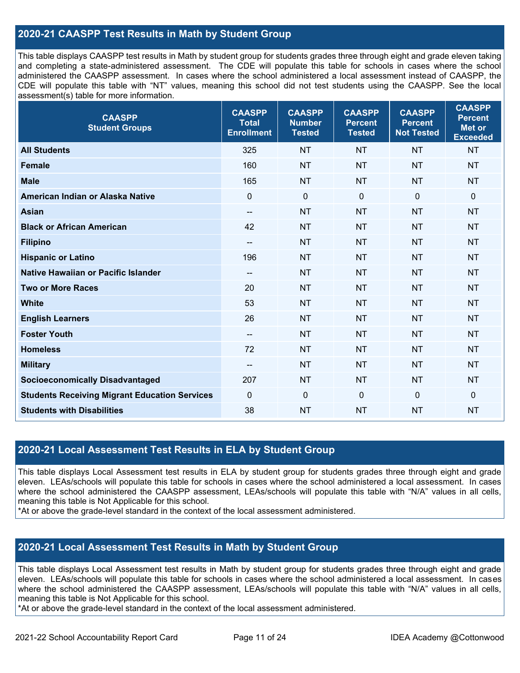## **2020-21 CAASPP Test Results in Math by Student Group**

This table displays CAASPP test results in Math by student group for students grades three through eight and grade eleven taking and completing a state-administered assessment. The CDE will populate this table for schools in cases where the school administered the CAASPP assessment. In cases where the school administered a local assessment instead of CAASPP, the CDE will populate this table with "NT" values, meaning this school did not test students using the CAASPP. See the local assessment(s) table for more information.

| <b>CAASPP</b><br><b>Student Groups</b>               | <b>CAASPP</b><br><b>Total</b><br><b>Enrollment</b> | <b>CAASPP</b><br><b>Number</b><br><b>Tested</b> | <b>CAASPP</b><br><b>Percent</b><br><b>Tested</b> | <b>CAASPP</b><br><b>Percent</b><br><b>Not Tested</b> | <b>CAASPP</b><br><b>Percent</b><br><b>Met or</b><br><b>Exceeded</b> |
|------------------------------------------------------|----------------------------------------------------|-------------------------------------------------|--------------------------------------------------|------------------------------------------------------|---------------------------------------------------------------------|
| <b>All Students</b>                                  | 325                                                | <b>NT</b>                                       | <b>NT</b>                                        | <b>NT</b>                                            | <b>NT</b>                                                           |
| <b>Female</b>                                        | 160                                                | <b>NT</b>                                       | <b>NT</b>                                        | <b>NT</b>                                            | <b>NT</b>                                                           |
| <b>Male</b>                                          | 165                                                | <b>NT</b>                                       | <b>NT</b>                                        | <b>NT</b>                                            | <b>NT</b>                                                           |
| American Indian or Alaska Native                     | $\mathbf 0$                                        | $\mathbf 0$                                     | $\mathbf 0$                                      | $\mathbf 0$                                          | $\mathbf 0$                                                         |
| <b>Asian</b>                                         | $\overline{\phantom{a}}$                           | <b>NT</b>                                       | <b>NT</b>                                        | <b>NT</b>                                            | <b>NT</b>                                                           |
| <b>Black or African American</b>                     | 42                                                 | <b>NT</b>                                       | <b>NT</b>                                        | <b>NT</b>                                            | <b>NT</b>                                                           |
| <b>Filipino</b>                                      | $\overline{\phantom{a}}$                           | <b>NT</b>                                       | <b>NT</b>                                        | <b>NT</b>                                            | <b>NT</b>                                                           |
| <b>Hispanic or Latino</b>                            | 196                                                | <b>NT</b>                                       | <b>NT</b>                                        | <b>NT</b>                                            | <b>NT</b>                                                           |
| <b>Native Hawaiian or Pacific Islander</b>           | $\overline{\phantom{a}}$                           | <b>NT</b>                                       | <b>NT</b>                                        | <b>NT</b>                                            | <b>NT</b>                                                           |
| <b>Two or More Races</b>                             | 20                                                 | <b>NT</b>                                       | <b>NT</b>                                        | <b>NT</b>                                            | <b>NT</b>                                                           |
| <b>White</b>                                         | 53                                                 | <b>NT</b>                                       | <b>NT</b>                                        | <b>NT</b>                                            | <b>NT</b>                                                           |
| <b>English Learners</b>                              | 26                                                 | <b>NT</b>                                       | <b>NT</b>                                        | <b>NT</b>                                            | <b>NT</b>                                                           |
| <b>Foster Youth</b>                                  | --                                                 | <b>NT</b>                                       | <b>NT</b>                                        | <b>NT</b>                                            | <b>NT</b>                                                           |
| <b>Homeless</b>                                      | 72                                                 | <b>NT</b>                                       | <b>NT</b>                                        | <b>NT</b>                                            | <b>NT</b>                                                           |
| <b>Military</b>                                      | $\overline{\phantom{a}}$                           | <b>NT</b>                                       | <b>NT</b>                                        | <b>NT</b>                                            | <b>NT</b>                                                           |
| <b>Socioeconomically Disadvantaged</b>               | 207                                                | <b>NT</b>                                       | <b>NT</b>                                        | <b>NT</b>                                            | <b>NT</b>                                                           |
| <b>Students Receiving Migrant Education Services</b> | $\mathbf{0}$                                       | $\mathbf 0$                                     | $\mathbf{0}$                                     | $\mathbf{0}$                                         | $\mathbf 0$                                                         |
| <b>Students with Disabilities</b>                    | 38                                                 | <b>NT</b>                                       | <b>NT</b>                                        | <b>NT</b>                                            | <b>NT</b>                                                           |

## **2020-21 Local Assessment Test Results in ELA by Student Group**

This table displays Local Assessment test results in ELA by student group for students grades three through eight and grade eleven. LEAs/schools will populate this table for schools in cases where the school administered a local assessment. In cases where the school administered the CAASPP assessment, LEAs/schools will populate this table with "N/A" values in all cells, meaning this table is Not Applicable for this school.

\*At or above the grade-level standard in the context of the local assessment administered.

## **2020-21 Local Assessment Test Results in Math by Student Group**

This table displays Local Assessment test results in Math by student group for students grades three through eight and grade eleven. LEAs/schools will populate this table for schools in cases where the school administered a local assessment. In cases where the school administered the CAASPP assessment, LEAs/schools will populate this table with "N/A" values in all cells, meaning this table is Not Applicable for this school.

\*At or above the grade-level standard in the context of the local assessment administered.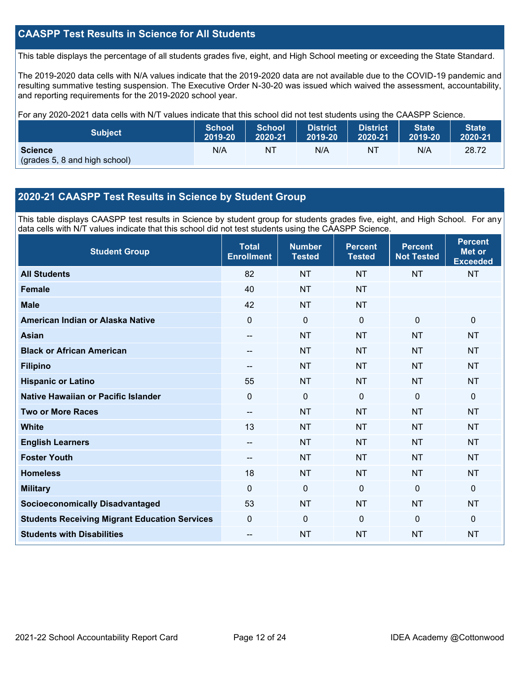## **CAASPP Test Results in Science for All Students**

This table displays the percentage of all students grades five, eight, and High School meeting or exceeding the State Standard.

The 2019-2020 data cells with N/A values indicate that the 2019-2020 data are not available due to the COVID-19 pandemic and resulting summative testing suspension. The Executive Order N-30-20 was issued which waived the assessment, accountability, and reporting requirements for the 2019-2020 school year.

For any 2020-2021 data cells with N/T values indicate that this school did not test students using the CAASPP Science.

| <b>Subject</b>                                  | <b>School</b> | <b>School</b> | <b>District</b> | District. | <b>State</b> | <b>State</b> |
|-------------------------------------------------|---------------|---------------|-----------------|-----------|--------------|--------------|
|                                                 | 2019-20       | 2020-21       | 2019-20         | 2020-21   | 2019-20      | 2020-21      |
| <b>Science</b><br>(grades 5, 8 and high school) | N/A           | NT            | N/A             | NT        | N/A          | 28.72        |

## **2020-21 CAASPP Test Results in Science by Student Group**

This table displays CAASPP test results in Science by student group for students grades five, eight, and High School. For any data cells with N/T values indicate that this school did not test students using the CAASPP Science.

| <b>Student Group</b>                                 | <b>Total</b><br><b>Enrollment</b> | <b>Number</b><br><b>Tested</b> | <b>Percent</b><br><b>Tested</b> | <b>Percent</b><br><b>Not Tested</b> | <b>Percent</b><br><b>Met or</b><br><b>Exceeded</b> |
|------------------------------------------------------|-----------------------------------|--------------------------------|---------------------------------|-------------------------------------|----------------------------------------------------|
| <b>All Students</b>                                  | 82                                | <b>NT</b>                      | <b>NT</b>                       | <b>NT</b>                           | <b>NT</b>                                          |
| <b>Female</b>                                        | 40                                | <b>NT</b>                      | <b>NT</b>                       |                                     |                                                    |
| <b>Male</b>                                          | 42                                | <b>NT</b>                      | <b>NT</b>                       |                                     |                                                    |
| American Indian or Alaska Native                     | 0                                 | 0                              | $\mathbf 0$                     | $\mathbf 0$                         | $\mathbf 0$                                        |
| <b>Asian</b>                                         | --                                | <b>NT</b>                      | <b>NT</b>                       | <b>NT</b>                           | <b>NT</b>                                          |
| <b>Black or African American</b>                     | --                                | <b>NT</b>                      | <b>NT</b>                       | <b>NT</b>                           | <b>NT</b>                                          |
| <b>Filipino</b>                                      | --                                | <b>NT</b>                      | <b>NT</b>                       | <b>NT</b>                           | <b>NT</b>                                          |
| <b>Hispanic or Latino</b>                            | 55                                | <b>NT</b>                      | <b>NT</b>                       | <b>NT</b>                           | <b>NT</b>                                          |
| Native Hawaiian or Pacific Islander                  | $\overline{0}$                    | $\mathbf 0$                    | $\mathbf 0$                     | $\overline{0}$                      | $\mathbf{0}$                                       |
| <b>Two or More Races</b>                             | --                                | <b>NT</b>                      | <b>NT</b>                       | <b>NT</b>                           | <b>NT</b>                                          |
| <b>White</b>                                         | 13                                | <b>NT</b>                      | <b>NT</b>                       | <b>NT</b>                           | <b>NT</b>                                          |
| <b>English Learners</b>                              | --                                | <b>NT</b>                      | <b>NT</b>                       | <b>NT</b>                           | <b>NT</b>                                          |
| <b>Foster Youth</b>                                  | --                                | <b>NT</b>                      | <b>NT</b>                       | <b>NT</b>                           | <b>NT</b>                                          |
| <b>Homeless</b>                                      | 18                                | <b>NT</b>                      | <b>NT</b>                       | <b>NT</b>                           | <b>NT</b>                                          |
| <b>Military</b>                                      | $\Omega$                          | 0                              | $\mathbf{0}$                    | $\mathbf 0$                         | $\mathbf{0}$                                       |
| <b>Socioeconomically Disadvantaged</b>               | 53                                | <b>NT</b>                      | <b>NT</b>                       | <b>NT</b>                           | <b>NT</b>                                          |
| <b>Students Receiving Migrant Education Services</b> | 0                                 | $\mathbf 0$                    | $\mathbf{0}$                    | $\overline{0}$                      | $\mathbf{0}$                                       |
| <b>Students with Disabilities</b>                    | --                                | <b>NT</b>                      | <b>NT</b>                       | <b>NT</b>                           | <b>NT</b>                                          |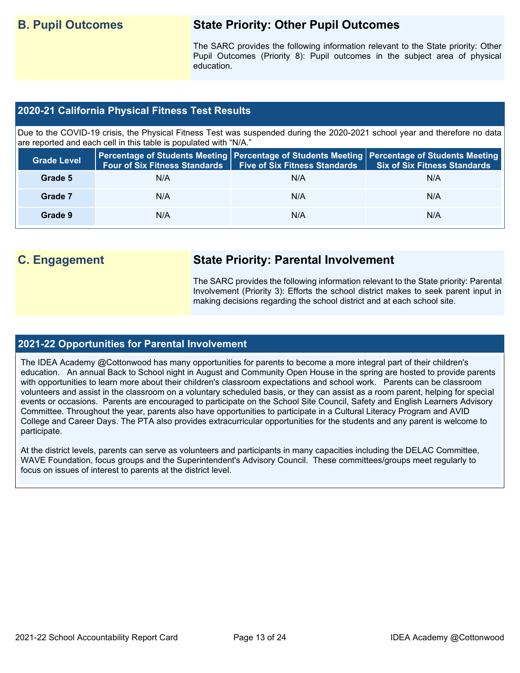## **B. Pupil Outcomes State Priority: Other Pupil Outcomes**

The SARC provides the following information relevant to the State priority: Other Pupil Outcomes (Priority 8): Pupil outcomes in the subject area of physical education.

## **2020-21 California Physical Fitness Test Results**

Due to the COVID-19 crisis, the Physical Fitness Test was suspended during the 2020-2021 school year and therefore no data are reported and each cell in this table is populated with "N/A."

| <b>Grade Level</b> | <b>Four of Six Fitness Standards</b> | <b>Five of Six Fitness Standards</b> | Percentage of Students Meeting   Percentage of Students Meeting   Percentage of Students Meeting  <br><b>Six of Six Fitness Standards</b> |
|--------------------|--------------------------------------|--------------------------------------|-------------------------------------------------------------------------------------------------------------------------------------------|
| Grade 5            | N/A                                  | N/A                                  | N/A                                                                                                                                       |
| Grade 7            | N/A                                  | N/A                                  | N/A                                                                                                                                       |
| Grade 9            | N/A                                  | N/A                                  | N/A                                                                                                                                       |

## **C. Engagement State Priority: Parental Involvement**

The SARC provides the following information relevant to the State priority: Parental Involvement (Priority 3): Efforts the school district makes to seek parent input in making decisions regarding the school district and at each school site.

## **2021-22 Opportunities for Parental Involvement**

The IDEA Academy @Cottonwood has many opportunities for parents to become a more integral part of their children's education. An annual Back to School night in August and Community Open House in the spring are hosted to provide parents with opportunities to learn more about their children's classroom expectations and school work. Parents can be classroom volunteers and assist in the classroom on a voluntary scheduled basis, or they can assist as a room parent, helping for special events or occasions. Parents are encouraged to participate on the School Site Council, Safety and English Learners Advisory Committee. Throughout the year, parents also have opportunities to participate in a Cultural Literacy Program and AVID College and Career Days. The PTA also provides extracurricular opportunities for the students and any parent is welcome to participate.

At the district levels, parents can serve as volunteers and participants in many capacities including the DELAC Committee, WAVE Foundation, focus groups and the Superintendent's Advisory Council. These committees/groups meet regularly to focus on issues of interest to parents at the district level.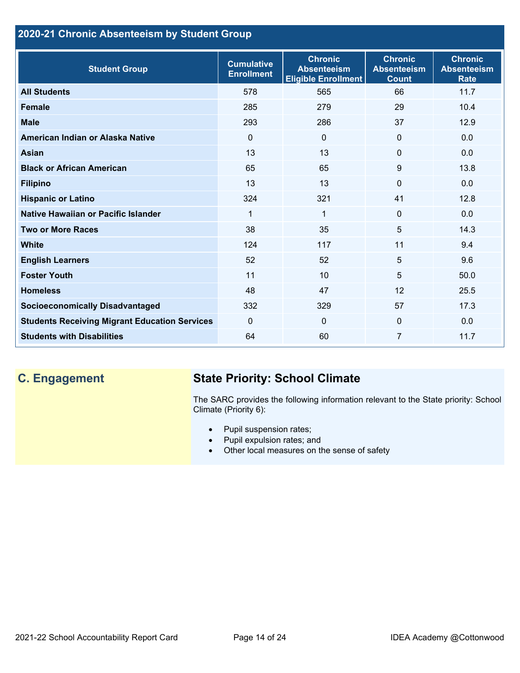## **2020-21 Chronic Absenteeism by Student Group**

| <b>Student Group</b>                                 | <b>Cumulative</b><br><b>Enrollment</b> | <b>Chronic</b><br><b>Absenteeism</b><br><b>Eligible Enrollment</b> | <b>Chronic</b><br><b>Absenteeism</b><br><b>Count</b> | <b>Chronic</b><br><b>Absenteeism</b><br><b>Rate</b> |
|------------------------------------------------------|----------------------------------------|--------------------------------------------------------------------|------------------------------------------------------|-----------------------------------------------------|
| <b>All Students</b>                                  | 578                                    | 565                                                                | 66                                                   | 11.7                                                |
| <b>Female</b>                                        | 285                                    | 279                                                                | 29                                                   | 10.4                                                |
| <b>Male</b>                                          | 293                                    | 286                                                                | 37                                                   | 12.9                                                |
| American Indian or Alaska Native                     | $\Omega$                               | $\mathbf{0}$                                                       | $\mathbf{0}$                                         | 0.0                                                 |
| <b>Asian</b>                                         | 13                                     | 13                                                                 | $\mathbf 0$                                          | 0.0                                                 |
| <b>Black or African American</b>                     | 65                                     | 65                                                                 | 9                                                    | 13.8                                                |
| <b>Filipino</b>                                      | 13                                     | 13                                                                 | $\mathbf{0}$                                         | 0.0                                                 |
| <b>Hispanic or Latino</b>                            | 324                                    | 321                                                                | 41                                                   | 12.8                                                |
| Native Hawaiian or Pacific Islander                  | 1                                      | $\mathbf{1}$                                                       | $\mathbf 0$                                          | 0.0                                                 |
| <b>Two or More Races</b>                             | 38                                     | 35                                                                 | 5                                                    | 14.3                                                |
| <b>White</b>                                         | 124                                    | 117                                                                | 11                                                   | 9.4                                                 |
| <b>English Learners</b>                              | 52                                     | 52                                                                 | 5                                                    | 9.6                                                 |
| <b>Foster Youth</b>                                  | 11                                     | 10                                                                 | 5                                                    | 50.0                                                |
| <b>Homeless</b>                                      | 48                                     | 47                                                                 | 12                                                   | 25.5                                                |
| <b>Socioeconomically Disadvantaged</b>               | 332                                    | 329                                                                | 57                                                   | 17.3                                                |
| <b>Students Receiving Migrant Education Services</b> | $\mathbf{0}$                           | $\mathbf 0$                                                        | $\mathbf{0}$                                         | 0.0                                                 |
| <b>Students with Disabilities</b>                    | 64                                     | 60                                                                 | 7                                                    | 11.7                                                |

## **C. Engagement State Priority: School Climate**

The SARC provides the following information relevant to the State priority: School Climate (Priority 6):

- Pupil suspension rates;
- Pupil expulsion rates; and
- Other local measures on the sense of safety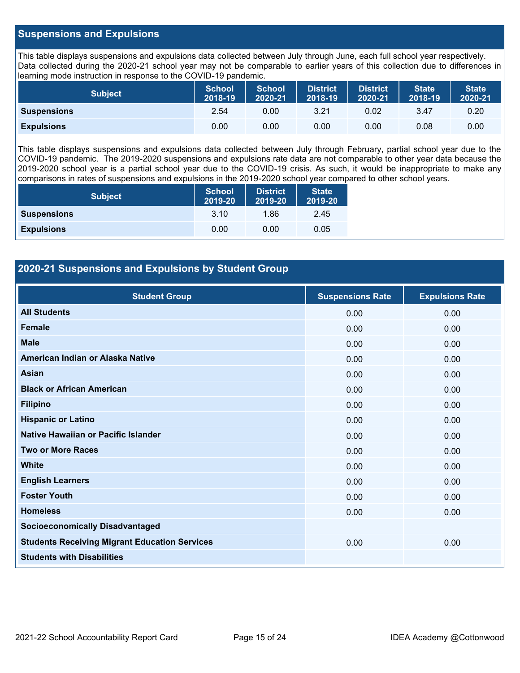## **Suspensions and Expulsions**

This table displays suspensions and expulsions data collected between July through June, each full school year respectively. Data collected during the 2020-21 school year may not be comparable to earlier years of this collection due to differences in learning mode instruction in response to the COVID-19 pandemic.

| <b>Subject</b>     | <b>School</b><br>2018-19 | <b>School</b><br>2020-21 | <b>District</b><br>2018-19 | <b>District</b><br>2020-21 | <b>State</b><br>2018-19 | <b>State</b><br>2020-21 |
|--------------------|--------------------------|--------------------------|----------------------------|----------------------------|-------------------------|-------------------------|
| <b>Suspensions</b> | 2.54                     | 0.00                     | 3.21                       | 0.02                       | 3.47                    | 0.20                    |
| <b>Expulsions</b>  | 0.00                     | 0.00                     | 0.00                       | 0.00                       | 0.08                    | 0.00                    |

This table displays suspensions and expulsions data collected between July through February, partial school year due to the COVID-19 pandemic. The 2019-2020 suspensions and expulsions rate data are not comparable to other year data because the 2019-2020 school year is a partial school year due to the COVID-19 crisis. As such, it would be inappropriate to make any comparisons in rates of suspensions and expulsions in the 2019-2020 school year compared to other school years.

| <b>Subject</b>     | School<br>2019-20 | <b>District</b><br>2019-20 | <b>State</b><br>2019-20 |
|--------------------|-------------------|----------------------------|-------------------------|
| <b>Suspensions</b> | 3.10              | 1.86                       | 2.45                    |
| <b>Expulsions</b>  | 0.00              | 0.00                       | 0.05                    |

## **2020-21 Suspensions and Expulsions by Student Group**

| <b>Student Group</b>                                 | <b>Suspensions Rate</b> | <b>Expulsions Rate</b> |
|------------------------------------------------------|-------------------------|------------------------|
| <b>All Students</b>                                  | 0.00                    | 0.00                   |
| <b>Female</b>                                        | 0.00                    | 0.00                   |
| <b>Male</b>                                          | 0.00                    | 0.00                   |
| American Indian or Alaska Native                     | 0.00                    | 0.00                   |
| Asian                                                | 0.00                    | 0.00                   |
| <b>Black or African American</b>                     | 0.00                    | 0.00                   |
| <b>Filipino</b>                                      | 0.00                    | 0.00                   |
| <b>Hispanic or Latino</b>                            | 0.00                    | 0.00                   |
| Native Hawaiian or Pacific Islander                  | 0.00                    | 0.00                   |
| <b>Two or More Races</b>                             | 0.00                    | 0.00                   |
| <b>White</b>                                         | 0.00                    | 0.00                   |
| <b>English Learners</b>                              | 0.00                    | 0.00                   |
| <b>Foster Youth</b>                                  | 0.00                    | 0.00                   |
| <b>Homeless</b>                                      | 0.00                    | 0.00                   |
| <b>Socioeconomically Disadvantaged</b>               |                         |                        |
| <b>Students Receiving Migrant Education Services</b> | 0.00                    | 0.00                   |
| <b>Students with Disabilities</b>                    |                         |                        |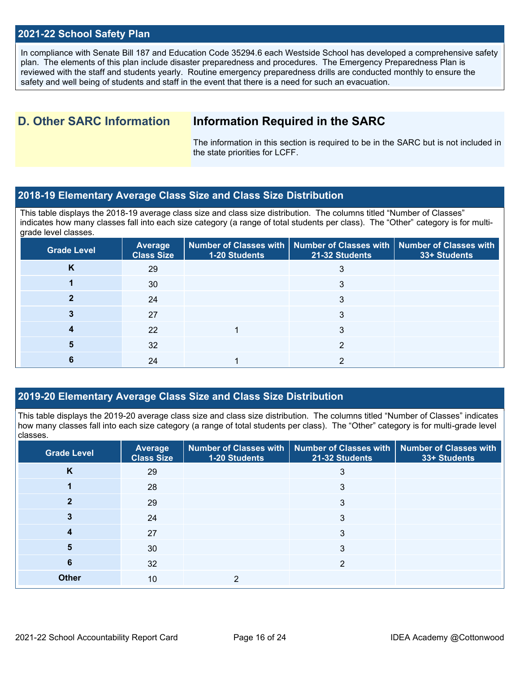## **2021-22 School Safety Plan**

In compliance with Senate Bill 187 and Education Code 35294.6 each Westside School has developed a comprehensive safety plan. The elements of this plan include disaster preparedness and procedures. The Emergency Preparedness Plan is reviewed with the staff and students yearly. Routine emergency preparedness drills are conducted monthly to ensure the safety and well being of students and staff in the event that there is a need for such an evacuation.

## **D. Other SARC Information Information Required in the SARC**

The information in this section is required to be in the SARC but is not included in the state priorities for LCFF.

## **2018-19 Elementary Average Class Size and Class Size Distribution**

This table displays the 2018-19 average class size and class size distribution. The columns titled "Number of Classes" indicates how many classes fall into each size category (a range of total students per class). The "Other" category is for multigrade level classes.

| <b>Grade Level</b> | <b>Average</b><br><b>Class Size</b> | Number of Classes with   Number of Classes with   Number of Classes with<br>1-20 Students | 21-32 Students | 33+ Students |
|--------------------|-------------------------------------|-------------------------------------------------------------------------------------------|----------------|--------------|
| K                  | 29                                  |                                                                                           | 3              |              |
|                    | 30                                  |                                                                                           | 3              |              |
|                    | 24                                  |                                                                                           |                |              |
|                    | 27                                  |                                                                                           | 3              |              |
|                    | 22                                  |                                                                                           | 3              |              |
|                    | 32                                  |                                                                                           |                |              |
|                    | 24                                  |                                                                                           |                |              |

## **2019-20 Elementary Average Class Size and Class Size Distribution**

This table displays the 2019-20 average class size and class size distribution. The columns titled "Number of Classes" indicates how many classes fall into each size category (a range of total students per class). The "Other" category is for multi-grade level classes.

| <b>Grade Level</b> | <b>Average</b><br><b>Class Size</b> | 1-20 Students | Number of Classes with   Number of Classes with   Number of Classes with<br>21-32 Students | 33+ Students |
|--------------------|-------------------------------------|---------------|--------------------------------------------------------------------------------------------|--------------|
| K                  | 29                                  |               | 3                                                                                          |              |
|                    | 28                                  |               | 3                                                                                          |              |
|                    | 29                                  |               | 3                                                                                          |              |
|                    | 24                                  |               | 3                                                                                          |              |
| 4                  | 27                                  |               | 3                                                                                          |              |
| 5                  | 30                                  |               | 3                                                                                          |              |
| 6                  | 32                                  |               | っ                                                                                          |              |
| <b>Other</b>       | 10                                  | າ             |                                                                                            |              |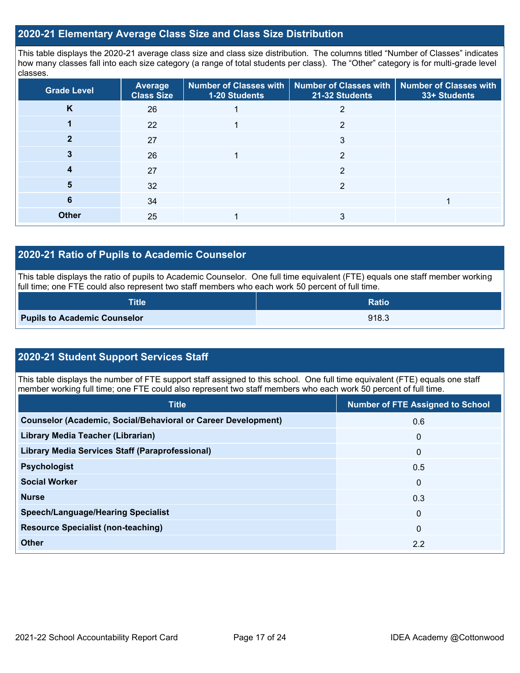## **2020-21 Elementary Average Class Size and Class Size Distribution**

This table displays the 2020-21 average class size and class size distribution. The columns titled "Number of Classes" indicates how many classes fall into each size category (a range of total students per class). The "Other" category is for multi-grade level classes.

| <b>Grade Level</b> | <b>Average</b><br><b>Class Size</b> | <b>1-20 Students</b> | Number of Classes with   Number of Classes with   Number of Classes with<br>21-32 Students | 33+ Students |
|--------------------|-------------------------------------|----------------------|--------------------------------------------------------------------------------------------|--------------|
| K                  | 26                                  |                      |                                                                                            |              |
|                    | 22                                  |                      | າ                                                                                          |              |
|                    | 27                                  |                      | 3                                                                                          |              |
|                    | 26                                  |                      | $\overline{2}$                                                                             |              |
|                    | 27                                  |                      | 2                                                                                          |              |
| 5                  | 32                                  |                      | 2                                                                                          |              |
| 6                  | 34                                  |                      |                                                                                            |              |
| <b>Other</b>       | 25                                  |                      |                                                                                            |              |

## **2020-21 Ratio of Pupils to Academic Counselor**

This table displays the ratio of pupils to Academic Counselor. One full time equivalent (FTE) equals one staff member working full time; one FTE could also represent two staff members who each work 50 percent of full time.

| <b>Title</b>                        | Ratio |
|-------------------------------------|-------|
| <b>Pupils to Academic Counselor</b> | 918.3 |

## **2020-21 Student Support Services Staff**

This table displays the number of FTE support staff assigned to this school. One full time equivalent (FTE) equals one staff member working full time; one FTE could also represent two staff members who each work 50 percent of full time.

| <b>Title</b>                                                         | <b>Number of FTE Assigned to School</b> |
|----------------------------------------------------------------------|-----------------------------------------|
| <b>Counselor (Academic, Social/Behavioral or Career Development)</b> | 0.6                                     |
| Library Media Teacher (Librarian)                                    | 0                                       |
| <b>Library Media Services Staff (Paraprofessional)</b>               | $\Omega$                                |
| <b>Psychologist</b>                                                  | 0.5                                     |
| <b>Social Worker</b>                                                 | $\Omega$                                |
| <b>Nurse</b>                                                         | 0.3                                     |
| <b>Speech/Language/Hearing Specialist</b>                            | $\mathbf{0}$                            |
| <b>Resource Specialist (non-teaching)</b>                            | $\mathbf{0}$                            |
| <b>Other</b>                                                         | 2.2                                     |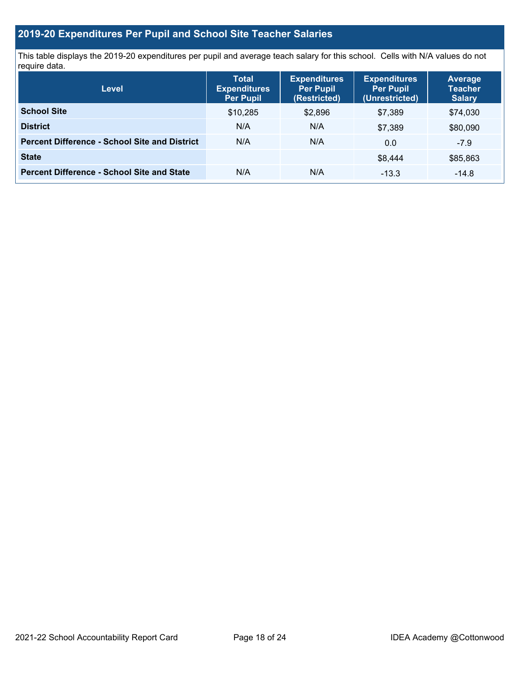## **2019-20 Expenditures Per Pupil and School Site Teacher Salaries**

This table displays the 2019-20 expenditures per pupil and average teach salary for this school. Cells with N/A values do not require data.

| <b>Level</b>                                         | <b>Total</b><br><b>Expenditures</b><br><b>Per Pupil</b> | <b>Expenditures</b><br><b>Per Pupil</b><br>(Restricted) | <b>Expenditures</b><br><b>Per Pupil</b><br>(Unrestricted) | <b>Average</b><br><b>Teacher</b><br><b>Salary</b> |
|------------------------------------------------------|---------------------------------------------------------|---------------------------------------------------------|-----------------------------------------------------------|---------------------------------------------------|
| <b>School Site</b>                                   | \$10,285                                                | \$2,896                                                 | \$7.389                                                   | \$74,030                                          |
| <b>District</b>                                      | N/A                                                     | N/A                                                     | \$7.389                                                   | \$80,090                                          |
| <b>Percent Difference - School Site and District</b> | N/A                                                     | N/A                                                     | 0.0                                                       | $-7.9$                                            |
| <b>State</b>                                         |                                                         |                                                         | \$8,444                                                   | \$85,863                                          |
| <b>Percent Difference - School Site and State</b>    | N/A                                                     | N/A                                                     | $-13.3$                                                   | $-14.8$                                           |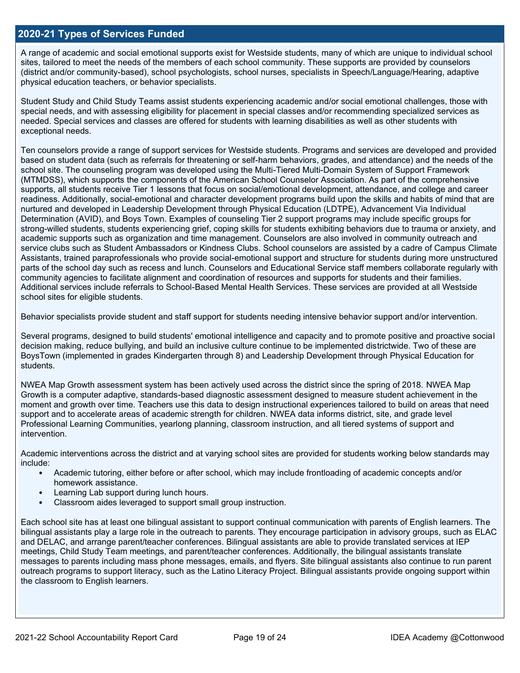## **2020-21 Types of Services Funded**

A range of academic and social emotional supports exist for Westside students, many of which are unique to individual school sites, tailored to meet the needs of the members of each school community. These supports are provided by counselors (district and/or community-based), school psychologists, school nurses, specialists in Speech/Language/Hearing, adaptive physical education teachers, or behavior specialists.

Student Study and Child Study Teams assist students experiencing academic and/or social emotional challenges, those with special needs, and with assessing eligibility for placement in special classes and/or recommending specialized services as needed. Special services and classes are offered for students with learning disabilities as well as other students with exceptional needs.

Ten counselors provide a range of support services for Westside students. Programs and services are developed and provided based on student data (such as referrals for threatening or self-harm behaviors, grades, and attendance) and the needs of the school site. The counseling program was developed using the Multi-Tiered Multi-Domain System of Support Framework (MTMDSS), which supports the components of the American School Counselor Association. As part of the comprehensive supports, all students receive Tier 1 lessons that focus on social/emotional development, attendance, and college and career readiness. Additionally, social-emotional and character development programs build upon the skills and habits of mind that are nurtured and developed in Leadership Development through Physical Education (LDTPE), Advancement Via Individual Determination (AVID), and Boys Town. Examples of counseling Tier 2 support programs may include specific groups for strong-willed students, students experiencing grief, coping skills for students exhibiting behaviors due to trauma or anxiety, and academic supports such as organization and time management. Counselors are also involved in community outreach and service clubs such as Student Ambassadors or Kindness Clubs. School counselors are assisted by a cadre of Campus Climate Assistants, trained paraprofessionals who provide social-emotional support and structure for students during more unstructured parts of the school day such as recess and lunch. Counselors and Educational Service staff members collaborate regularly with community agencies to facilitate alignment and coordination of resources and supports for students and their families. Additional services include referrals to School-Based Mental Health Services. These services are provided at all Westside school sites for eligible students.

Behavior specialists provide student and staff support for students needing intensive behavior support and/or intervention.

Several programs, designed to build students' emotional intelligence and capacity and to promote positive and proactive social decision making, reduce bullying, and build an inclusive culture continue to be implemented districtwide. Two of these are BoysTown (implemented in grades Kindergarten through 8) and Leadership Development through Physical Education for students.

NWEA Map Growth assessment system has been actively used across the district since the spring of 2018. NWEA Map Growth is a computer adaptive, standards-based diagnostic assessment designed to measure student achievement in the moment and growth over time. Teachers use this data to design instructional experiences tailored to build on areas that need support and to accelerate areas of academic strength for children. NWEA data informs district, site, and grade level Professional Learning Communities, yearlong planning, classroom instruction, and all tiered systems of support and intervention.

Academic interventions across the district and at varying school sites are provided for students working below standards may include:

- Academic tutoring, either before or after school, which may include frontloading of academic concepts and/or homework assistance.
- Learning Lab support during lunch hours.
- Classroom aides leveraged to support small group instruction.

Each school site has at least one bilingual assistant to support continual communication with parents of English learners. The bilingual assistants play a large role in the outreach to parents. They encourage participation in advisory groups, such as ELAC and DELAC, and arrange parent/teacher conferences. Bilingual assistants are able to provide translated services at IEP meetings, Child Study Team meetings, and parent/teacher conferences. Additionally, the bilingual assistants translate messages to parents including mass phone messages, emails, and flyers. Site bilingual assistants also continue to run parent outreach programs to support literacy, such as the Latino Literacy Project. Bilingual assistants provide ongoing support within the classroom to English learners.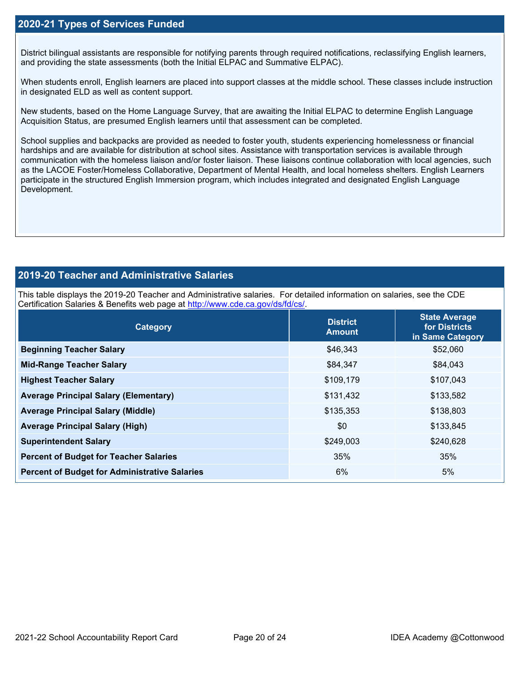## **2020-21 Types of Services Funded**

District bilingual assistants are responsible for notifying parents through required notifications, reclassifying English learners, and providing the state assessments (both the Initial ELPAC and Summative ELPAC).

When students enroll, English learners are placed into support classes at the middle school. These classes include instruction in designated ELD as well as content support.

New students, based on the Home Language Survey, that are awaiting the Initial ELPAC to determine English Language Acquisition Status, are presumed English learners until that assessment can be completed.

School supplies and backpacks are provided as needed to foster youth, students experiencing homelessness or financial hardships and are available for distribution at school sites. Assistance with transportation services is available through communication with the homeless liaison and/or foster liaison. These liaisons continue collaboration with local agencies, such as the LACOE Foster/Homeless Collaborative, Department of Mental Health, and local homeless shelters. English Learners participate in the structured English Immersion program, which includes integrated and designated English Language Development.

## **2019-20 Teacher and Administrative Salaries**

This table displays the 2019-20 Teacher and Administrative salaries. For detailed information on salaries, see the CDE Certification Salaries & Benefits web page at [http://www.cde.ca.gov/ds/fd/cs/.](http://www.cde.ca.gov/ds/fd/cs/)

| Category                                             | <b>District</b><br><b>Amount</b> | <b>State Average</b><br>for Districts<br>in Same Category |
|------------------------------------------------------|----------------------------------|-----------------------------------------------------------|
| <b>Beginning Teacher Salary</b>                      | \$46,343                         | \$52,060                                                  |
| <b>Mid-Range Teacher Salary</b>                      | \$84,347                         | \$84,043                                                  |
| <b>Highest Teacher Salary</b>                        | \$109,179                        | \$107,043                                                 |
| <b>Average Principal Salary (Elementary)</b>         | \$131,432                        | \$133,582                                                 |
| <b>Average Principal Salary (Middle)</b>             | \$135,353                        | \$138,803                                                 |
| <b>Average Principal Salary (High)</b>               | \$0                              | \$133,845                                                 |
| <b>Superintendent Salary</b>                         | \$249,003                        | \$240,628                                                 |
| <b>Percent of Budget for Teacher Salaries</b>        | 35%                              | 35%                                                       |
| <b>Percent of Budget for Administrative Salaries</b> | 6%                               | 5%                                                        |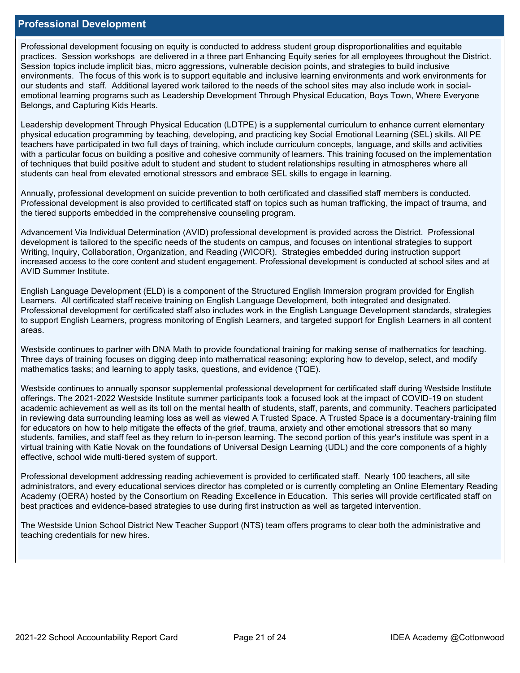### **Professional Development**

Professional development focusing on equity is conducted to address student group disproportionalities and equitable practices. Session workshops are delivered in a three part Enhancing Equity series for all employees throughout the District. Session topics include implicit bias, micro aggressions, vulnerable decision points, and strategies to build inclusive environments. The focus of this work is to support equitable and inclusive learning environments and work environments for our students and staff. Additional layered work tailored to the needs of the school sites may also include work in socialemotional learning programs such as Leadership Development Through Physical Education, Boys Town, Where Everyone Belongs, and Capturing Kids Hearts.

Leadership development Through Physical Education (LDTPE) is a supplemental curriculum to enhance current elementary physical education programming by teaching, developing, and practicing key Social Emotional Learning (SEL) skills. All PE teachers have participated in two full days of training, which include curriculum concepts, language, and skills and activities with a particular focus on building a positive and cohesive community of learners. This training focused on the implementation of techniques that build positive adult to student and student to student relationships resulting in atmospheres where all students can heal from elevated emotional stressors and embrace SEL skills to engage in learning.

Annually, professional development on suicide prevention to both certificated and classified staff members is conducted. Professional development is also provided to certificated staff on topics such as human trafficking, the impact of trauma, and the tiered supports embedded in the comprehensive counseling program.

Advancement Via Individual Determination (AVID) professional development is provided across the District. Professional development is tailored to the specific needs of the students on campus, and focuses on intentional strategies to support Writing, Inquiry, Collaboration, Organization, and Reading (WICOR). Strategies embedded during instruction support increased access to the core content and student engagement. Professional development is conducted at school sites and at AVID Summer Institute.

English Language Development (ELD) is a component of the Structured English Immersion program provided for English Learners. All certificated staff receive training on English Language Development, both integrated and designated. Professional development for certificated staff also includes work in the English Language Development standards, strategies to support English Learners, progress monitoring of English Learners, and targeted support for English Learners in all content areas.

Westside continues to partner with DNA Math to provide foundational training for making sense of mathematics for teaching. Three days of training focuses on digging deep into mathematical reasoning; exploring how to develop, select, and modify mathematics tasks; and learning to apply tasks, questions, and evidence (TQE).

Westside continues to annually sponsor supplemental professional development for certificated staff during Westside Institute offerings. The 2021-2022 Westside Institute summer participants took a focused look at the impact of COVID-19 on student academic achievement as well as its toll on the mental health of students, staff, parents, and community. Teachers participated in reviewing data surrounding learning loss as well as viewed A Trusted Space. A Trusted Space is a documentary-training film for educators on how to help mitigate the effects of the grief, trauma, anxiety and other emotional stressors that so many students, families, and staff feel as they return to in-person learning. The second portion of this year's institute was spent in a virtual training with Katie Novak on the foundations of Universal Design Learning (UDL) and the core components of a highly effective, school wide multi-tiered system of support.

Professional development addressing reading achievement is provided to certificated staff. Nearly 100 teachers, all site administrators, and every educational services director has completed or is currently completing an Online Elementary Reading Academy (OERA) hosted by the Consortium on Reading Excellence in Education. This series will provide certificated staff on best practices and evidence-based strategies to use during first instruction as well as targeted intervention.

The Westside Union School District New Teacher Support (NTS) team offers programs to clear both the administrative and teaching credentials for new hires.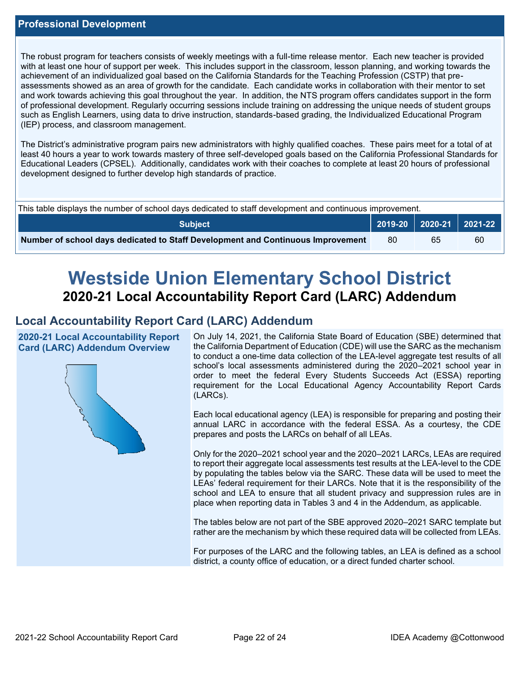The robust program for teachers consists of weekly meetings with a full-time release mentor. Each new teacher is provided with at least one hour of support per week. This includes support in the classroom, lesson planning, and working towards the achievement of an individualized goal based on the California Standards for the Teaching Profession (CSTP) that preassessments showed as an area of growth for the candidate. Each candidate works in collaboration with their mentor to set and work towards achieving this goal throughout the year. In addition, the NTS program offers candidates support in the form of professional development. Regularly occurring sessions include training on addressing the unique needs of student groups such as English Learners, using data to drive instruction, standards-based grading, the Individualized Educational Program (IEP) process, and classroom management.

The District's administrative program pairs new administrators with highly qualified coaches. These pairs meet for a total of at least 40 hours a year to work towards mastery of three self-developed goals based on the California Professional Standards for Educational Leaders (CPSEL). Additionally, candidates work with their coaches to complete at least 20 hours of professional development designed to further develop high standards of practice.

| This table displays the number of school days dedicated to staff development and continuous improvement. |     |    |                             |  |  |
|----------------------------------------------------------------------------------------------------------|-----|----|-----------------------------|--|--|
| <b>Subject</b>                                                                                           |     |    | 2019-20   2020-21   2021-22 |  |  |
| Number of school days dedicated to Staff Development and Continuous Improvement                          | -80 | 65 | 60                          |  |  |

# **Westside Union Elementary School District 2020-21 Local Accountability Report Card (LARC) Addendum**

## **Local Accountability Report Card (LARC) Addendum**

**2020-21 Local Accountability Report Card (LARC) Addendum Overview**



On July 14, 2021, the California State Board of Education (SBE) determined that the California Department of Education (CDE) will use the SARC as the mechanism to conduct a one-time data collection of the LEA-level aggregate test results of all school's local assessments administered during the 2020–2021 school year in order to meet the federal Every Students Succeeds Act (ESSA) reporting requirement for the Local Educational Agency Accountability Report Cards (LARCs).

Each local educational agency (LEA) is responsible for preparing and posting their annual LARC in accordance with the federal ESSA. As a courtesy, the CDE prepares and posts the LARCs on behalf of all LEAs.

Only for the 2020–2021 school year and the 2020–2021 LARCs, LEAs are required to report their aggregate local assessments test results at the LEA-level to the CDE by populating the tables below via the SARC. These data will be used to meet the LEAs' federal requirement for their LARCs. Note that it is the responsibility of the school and LEA to ensure that all student privacy and suppression rules are in place when reporting data in Tables 3 and 4 in the Addendum, as applicable.

The tables below are not part of the SBE approved 2020–2021 SARC template but rather are the mechanism by which these required data will be collected from LEAs.

For purposes of the LARC and the following tables, an LEA is defined as a school district, a county office of education, or a direct funded charter school.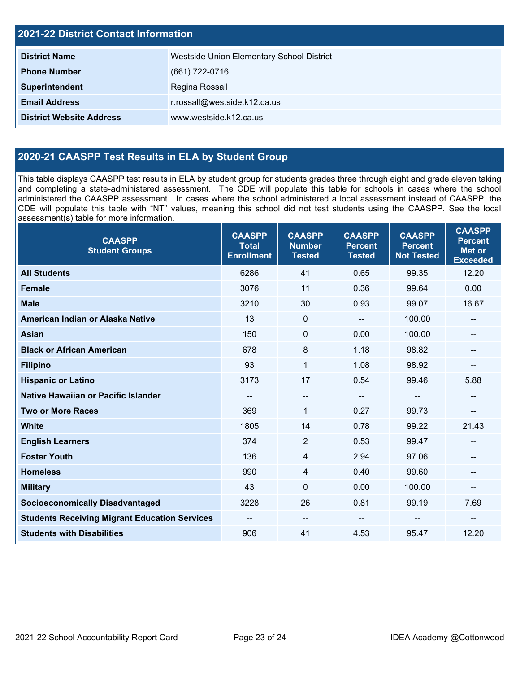| <b>2021-22 District Contact Information</b> |                                           |  |  |  |
|---------------------------------------------|-------------------------------------------|--|--|--|
| <b>District Name</b>                        | Westside Union Elementary School District |  |  |  |
| <b>Phone Number</b>                         | (661) 722-0716                            |  |  |  |
| Superintendent                              | Regina Rossall                            |  |  |  |
| <b>Email Address</b>                        | r.rossall@westside.k12.ca.us              |  |  |  |
| <b>District Website Address</b>             | www.westside.k12.ca.us                    |  |  |  |

## **2020-21 CAASPP Test Results in ELA by Student Group**

This table displays CAASPP test results in ELA by student group for students grades three through eight and grade eleven taking and completing a state-administered assessment. The CDE will populate this table for schools in cases where the school administered the CAASPP assessment. In cases where the school administered a local assessment instead of CAASPP, the CDE will populate this table with "NT" values, meaning this school did not test students using the CAASPP. See the local assessment(s) table for more information.

| <b>CAASPP</b><br><b>Student Groups</b>               | <b>CAASPP</b><br><b>Total</b><br><b>Enrollment</b> | <b>CAASPP</b><br><b>Number</b><br><b>Tested</b> | <b>CAASPP</b><br><b>Percent</b><br><b>Tested</b> | <b>CAASPP</b><br><b>Percent</b><br><b>Not Tested</b> | <b>CAASPP</b><br><b>Percent</b><br><b>Met or</b><br><b>Exceeded</b> |
|------------------------------------------------------|----------------------------------------------------|-------------------------------------------------|--------------------------------------------------|------------------------------------------------------|---------------------------------------------------------------------|
| <b>All Students</b>                                  | 6286                                               | 41                                              | 0.65                                             | 99.35                                                | 12.20                                                               |
| <b>Female</b>                                        | 3076                                               | 11                                              | 0.36                                             | 99.64                                                | 0.00                                                                |
| <b>Male</b>                                          | 3210                                               | 30                                              | 0.93                                             | 99.07                                                | 16.67                                                               |
| American Indian or Alaska Native                     | 13                                                 | $\mathbf 0$                                     | $\mathbf{u}$                                     | 100.00                                               | --                                                                  |
| <b>Asian</b>                                         | 150                                                | $\mathbf 0$                                     | 0.00                                             | 100.00                                               |                                                                     |
| <b>Black or African American</b>                     | 678                                                | 8                                               | 1.18                                             | 98.82                                                | --                                                                  |
| <b>Filipino</b>                                      | 93                                                 | $\mathbf{1}$                                    | 1.08                                             | 98.92                                                | --                                                                  |
| <b>Hispanic or Latino</b>                            | 3173                                               | 17                                              | 0.54                                             | 99.46                                                | 5.88                                                                |
| <b>Native Hawaiian or Pacific Islander</b>           | --                                                 | $\overline{\phantom{a}}$                        | $\overline{\phantom{a}}$                         | $-$                                                  | --                                                                  |
| <b>Two or More Races</b>                             | 369                                                | $\mathbf{1}$                                    | 0.27                                             | 99.73                                                |                                                                     |
| <b>White</b>                                         | 1805                                               | 14                                              | 0.78                                             | 99.22                                                | 21.43                                                               |
| <b>English Learners</b>                              | 374                                                | $\overline{2}$                                  | 0.53                                             | 99.47                                                |                                                                     |
| <b>Foster Youth</b>                                  | 136                                                | $\overline{4}$                                  | 2.94                                             | 97.06                                                |                                                                     |
| <b>Homeless</b>                                      | 990                                                | 4                                               | 0.40                                             | 99.60                                                | --                                                                  |
| <b>Military</b>                                      | 43                                                 | $\mathbf 0$                                     | 0.00                                             | 100.00                                               | --                                                                  |
| <b>Socioeconomically Disadvantaged</b>               | 3228                                               | 26                                              | 0.81                                             | 99.19                                                | 7.69                                                                |
| <b>Students Receiving Migrant Education Services</b> | $\overline{\phantom{a}}$                           | $\qquad \qquad -$                               |                                                  | --                                                   |                                                                     |
| <b>Students with Disabilities</b>                    | 906                                                | 41                                              | 4.53                                             | 95.47                                                | 12.20                                                               |